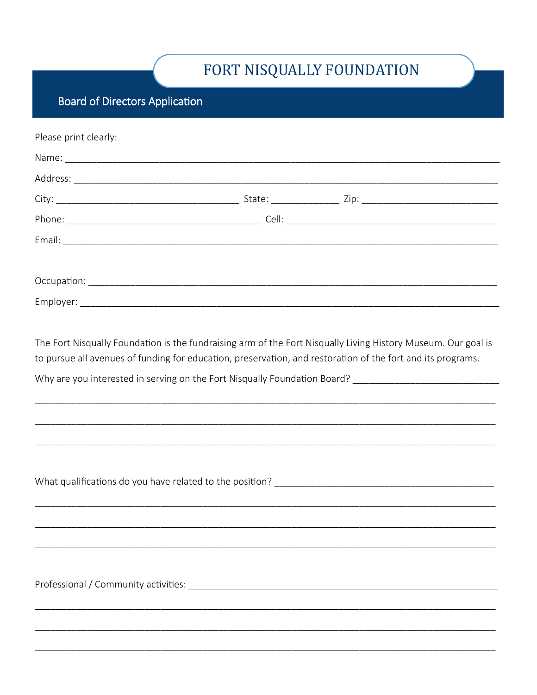## FORT NISQUALLY FOUNDATION

## **Board of Directors Application**

| Please print clearly:                                                                                                                                                                                                        |  |  |  |
|------------------------------------------------------------------------------------------------------------------------------------------------------------------------------------------------------------------------------|--|--|--|
|                                                                                                                                                                                                                              |  |  |  |
|                                                                                                                                                                                                                              |  |  |  |
|                                                                                                                                                                                                                              |  |  |  |
|                                                                                                                                                                                                                              |  |  |  |
|                                                                                                                                                                                                                              |  |  |  |
|                                                                                                                                                                                                                              |  |  |  |
|                                                                                                                                                                                                                              |  |  |  |
|                                                                                                                                                                                                                              |  |  |  |
|                                                                                                                                                                                                                              |  |  |  |
| The Fort Nisqually Foundation is the fundraising arm of the Fort Nisqually Living History Museum. Our goal is<br>to pursue all avenues of funding for education, preservation, and restoration of the fort and its programs. |  |  |  |
|                                                                                                                                                                                                                              |  |  |  |
| <u> 1989 - Johann Stoff, deutscher Stoff als der Stoff als der Stoff als der Stoff als der Stoff als der Stoff als</u>                                                                                                       |  |  |  |
|                                                                                                                                                                                                                              |  |  |  |
|                                                                                                                                                                                                                              |  |  |  |
|                                                                                                                                                                                                                              |  |  |  |
|                                                                                                                                                                                                                              |  |  |  |
|                                                                                                                                                                                                                              |  |  |  |
|                                                                                                                                                                                                                              |  |  |  |
|                                                                                                                                                                                                                              |  |  |  |
|                                                                                                                                                                                                                              |  |  |  |
|                                                                                                                                                                                                                              |  |  |  |
|                                                                                                                                                                                                                              |  |  |  |
|                                                                                                                                                                                                                              |  |  |  |